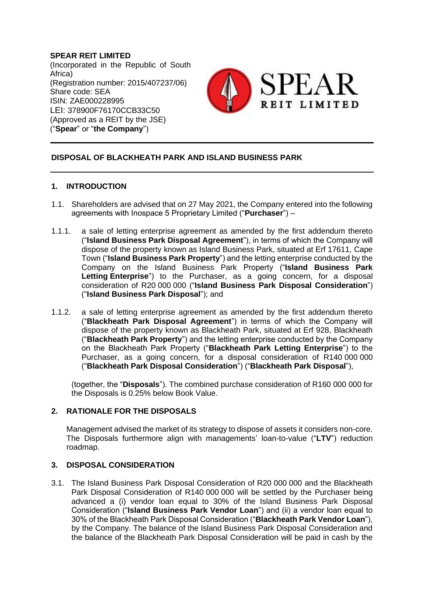**SPEAR REIT LIMITED** (Incorporated in the Republic of South Africa) (Registration number: 2015/407237/06) Share code: SEA ISIN: ZAE000228995 LEI: 378900F76170CCB33C50 (Approved as a REIT by the JSE) ("**Spear**" or "**the Company**")



#### **DISPOSAL OF BLACKHEATH PARK AND ISLAND BUSINESS PARK**

#### **1. INTRODUCTION**

- 1.1. Shareholders are advised that on 27 May 2021, the Company entered into the following agreements with Inospace 5 Proprietary Limited ("**Purchaser**") –
- 1.1.1. a sale of letting enterprise agreement as amended by the first addendum thereto ("**Island Business Park Disposal Agreement**"), in terms of which the Company will dispose of the property known as Island Business Park, situated at Erf 17611, Cape Town ("**Island Business Park Property**") and the letting enterprise conducted by the Company on the Island Business Park Property ("**Island Business Park Letting Enterprise**") to the Purchaser, as a going concern, for a disposal consideration of R20 000 000 ("**Island Business Park Disposal Consideration**") ("**Island Business Park Disposal**"); and
- 1.1.2. a sale of letting enterprise agreement as amended by the first addendum thereto ("**Blackheath Park Disposal Agreement**") in terms of which the Company will dispose of the property known as Blackheath Park, situated at Erf 928, Blackheath ("**Blackheath Park Property**") and the letting enterprise conducted by the Company on the Blackheath Park Property ("**Blackheath Park Letting Enterprise**") to the Purchaser, as a going concern, for a disposal consideration of R140 000 000 ("**Blackheath Park Disposal Consideration**") ("**Blackheath Park Disposal**"),

(together, the "**Disposals**"). The combined purchase consideration of R160 000 000 for the Disposals is 0.25% below Book Value.

### **2. RATIONALE FOR THE DISPOSALS**

Management advised the market of its strategy to dispose of assets it considers non-core. The Disposals furthermore align with managements' loan-to-value ("**LTV**") reduction roadmap.

#### **3. DISPOSAL CONSIDERATION**

3.1. The Island Business Park Disposal Consideration of R20 000 000 and the Blackheath Park Disposal Consideration of R140 000 000 will be settled by the Purchaser being advanced a (i) vendor loan equal to 30% of the Island Business Park Disposal Consideration ("**Island Business Park Vendor Loan**") and (ii) a vendor loan equal to 30% of the Blackheath Park Disposal Consideration ("**Blackheath Park Vendor Loan**"), by the Company. The balance of the Island Business Park Disposal Consideration and the balance of the Blackheath Park Disposal Consideration will be paid in cash by the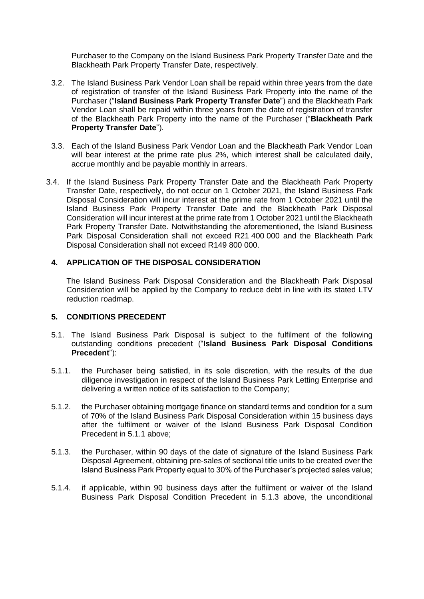Purchaser to the Company on the Island Business Park Property Transfer Date and the Blackheath Park Property Transfer Date, respectively.

- 3.2. The Island Business Park Vendor Loan shall be repaid within three years from the date of registration of transfer of the Island Business Park Property into the name of the Purchaser ("**Island Business Park Property Transfer Date**") and the Blackheath Park Vendor Loan shall be repaid within three years from the date of registration of transfer of the Blackheath Park Property into the name of the Purchaser ("**Blackheath Park Property Transfer Date**").
- 3.3. Each of the Island Business Park Vendor Loan and the Blackheath Park Vendor Loan will bear interest at the prime rate plus 2%, which interest shall be calculated daily, accrue monthly and be payable monthly in arrears.
- 3.4. If the Island Business Park Property Transfer Date and the Blackheath Park Property Transfer Date, respectively, do not occur on 1 October 2021, the Island Business Park Disposal Consideration will incur interest at the prime rate from 1 October 2021 until the Island Business Park Property Transfer Date and the Blackheath Park Disposal Consideration will incur interest at the prime rate from 1 October 2021 until the Blackheath Park Property Transfer Date. Notwithstanding the aforementioned, the Island Business Park Disposal Consideration shall not exceed R21 400 000 and the Blackheath Park Disposal Consideration shall not exceed R149 800 000.

#### **4. APPLICATION OF THE DISPOSAL CONSIDERATION**

The Island Business Park Disposal Consideration and the Blackheath Park Disposal Consideration will be applied by the Company to reduce debt in line with its stated LTV reduction roadmap.

#### **5. CONDITIONS PRECEDENT**

- 5.1. The Island Business Park Disposal is subject to the fulfilment of the following outstanding conditions precedent ("**Island Business Park Disposal Conditions Precedent**"):
- <span id="page-1-0"></span>5.1.1. the Purchaser being satisfied, in its sole discretion, with the results of the due diligence investigation in respect of the Island Business Park Letting Enterprise and delivering a written notice of its satisfaction to the Company;
- 5.1.2. the Purchaser obtaining mortgage finance on standard terms and condition for a sum of 70% of the Island Business Park Disposal Consideration within 15 business days after the fulfilment or waiver of the Island Business Park Disposal Condition Precedent in [5.1.1](#page-1-0) above;
- <span id="page-1-1"></span>5.1.3. the Purchaser, within 90 days of the date of signature of the Island Business Park Disposal Agreement, obtaining pre-sales of sectional title units to be created over the Island Business Park Property equal to 30% of the Purchaser's projected sales value;
- 5.1.4. if applicable, within 90 business days after the fulfilment or waiver of the Island Business Park Disposal Condition Precedent in [5.1.3](#page-1-1) above, the unconditional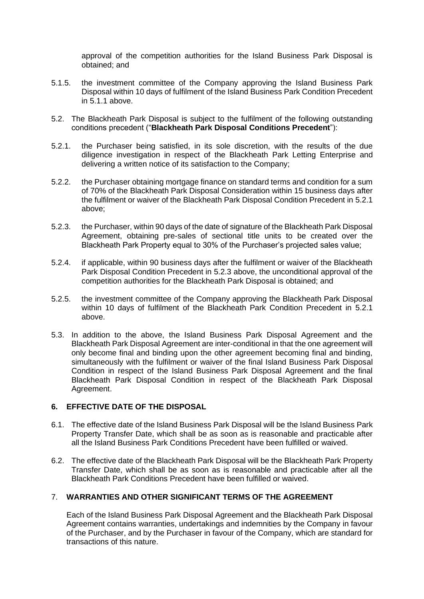approval of the competition authorities for the Island Business Park Disposal is obtained; and

- 5.1.5. the investment committee of the Company approving the Island Business Park Disposal within 10 days of fulfilment of the Island Business Park Condition Precedent in [5.1.1](#page-1-0) above.
- 5.2. The Blackheath Park Disposal is subject to the fulfilment of the following outstanding conditions precedent ("**Blackheath Park Disposal Conditions Precedent**"):
- <span id="page-2-0"></span>5.2.1. the Purchaser being satisfied, in its sole discretion, with the results of the due diligence investigation in respect of the Blackheath Park Letting Enterprise and delivering a written notice of its satisfaction to the Company;
- 5.2.2. the Purchaser obtaining mortgage finance on standard terms and condition for a sum of 70% of the Blackheath Park Disposal Consideration within 15 business days after the fulfilment or waiver of the Blackheath Park Disposal Condition Precedent in [5.2.1](#page-2-0) above;
- <span id="page-2-1"></span>5.2.3. the Purchaser, within 90 days of the date of signature of the Blackheath Park Disposal Agreement, obtaining pre-sales of sectional title units to be created over the Blackheath Park Property equal to 30% of the Purchaser's projected sales value;
- 5.2.4. if applicable, within 90 business days after the fulfilment or waiver of the Blackheath Park Disposal Condition Precedent in [5.2.3](#page-2-1) above, the unconditional approval of the competition authorities for the Blackheath Park Disposal is obtained; and
- 5.2.5. the investment committee of the Company approving the Blackheath Park Disposal within 10 days of fulfilment of the Blackheath Park Condition Precedent in [5.2.1](#page-2-0) above.
- 5.3. In addition to the above, the Island Business Park Disposal Agreement and the Blackheath Park Disposal Agreement are inter-conditional in that the one agreement will only become final and binding upon the other agreement becoming final and binding, simultaneously with the fulfilment or waiver of the final Island Business Park Disposal Condition in respect of the Island Business Park Disposal Agreement and the final Blackheath Park Disposal Condition in respect of the Blackheath Park Disposal Agreement.

#### **6. EFFECTIVE DATE OF THE DISPOSAL**

- 6.1. The effective date of the Island Business Park Disposal will be the Island Business Park Property Transfer Date, which shall be as soon as is reasonable and practicable after all the Island Business Park Conditions Precedent have been fulfilled or waived.
- 6.2. The effective date of the Blackheath Park Disposal will be the Blackheath Park Property Transfer Date, which shall be as soon as is reasonable and practicable after all the Blackheath Park Conditions Precedent have been fulfilled or waived.

# 7. **WARRANTIES AND OTHER SIGNIFICANT TERMS OF THE AGREEMENT**

Each of the Island Business Park Disposal Agreement and the Blackheath Park Disposal Agreement contains warranties, undertakings and indemnities by the Company in favour of the Purchaser, and by the Purchaser in favour of the Company, which are standard for transactions of this nature.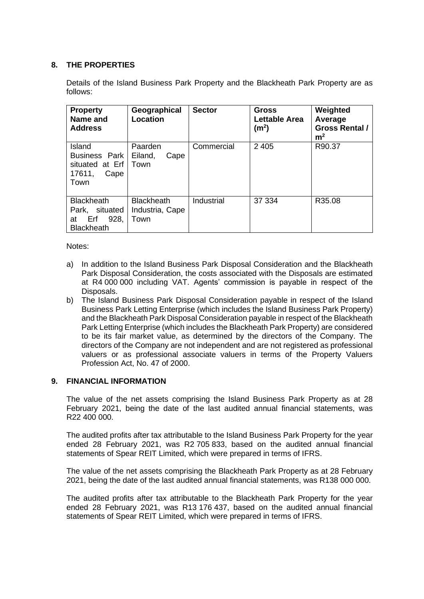# **8. THE PROPERTIES**

Details of the Island Business Park Property and the Blackheath Park Property are as follows:

| <b>Property</b><br>Name and<br><b>Address</b>                                    | Geographical<br><b>Location</b>              | <b>Sector</b> | Gross<br><b>Lettable Area</b><br>(m <sup>2</sup> ) | Weighted<br>Average<br><b>Gross Rental /</b><br>m <sup>2</sup> |
|----------------------------------------------------------------------------------|----------------------------------------------|---------------|----------------------------------------------------|----------------------------------------------------------------|
| Island<br>Business Park<br>situated at Erf<br>17611,<br>Cape<br>Town             | Paarden<br>Eiland,<br>Cape<br>Town           | Commercial    | 2 4 0 5                                            | R90.37                                                         |
| <b>Blackheath</b><br>situated<br>Park,<br>928.<br>Erf<br>at<br><b>Blackheath</b> | <b>Blackheath</b><br>Industria, Cape<br>Town | Industrial    | 37 334                                             | R35.08                                                         |

Notes:

- a) In addition to the Island Business Park Disposal Consideration and the Blackheath Park Disposal Consideration, the costs associated with the Disposals are estimated at R4 000 000 including VAT. Agents' commission is payable in respect of the Disposals.
- b) The Island Business Park Disposal Consideration payable in respect of the Island Business Park Letting Enterprise (which includes the Island Business Park Property) and the Blackheath Park Disposal Consideration payable in respect of the Blackheath Park Letting Enterprise (which includes the Blackheath Park Property) are considered to be its fair market value, as determined by the directors of the Company. The directors of the Company are not independent and are not registered as professional valuers or as professional associate valuers in terms of the Property Valuers Profession Act, No. 47 of 2000.

#### **9. FINANCIAL INFORMATION**

The value of the net assets comprising the Island Business Park Property as at 28 February 2021, being the date of the last audited annual financial statements, was R22 400 000.

The audited profits after tax attributable to the Island Business Park Property for the year ended 28 February 2021, was R2 705 833, based on the audited annual financial statements of Spear REIT Limited, which were prepared in terms of IFRS.

The value of the net assets comprising the Blackheath Park Property as at 28 February 2021, being the date of the last audited annual financial statements, was R138 000 000.

The audited profits after tax attributable to the Blackheath Park Property for the year ended 28 February 2021, was R13 176 437, based on the audited annual financial statements of Spear REIT Limited, which were prepared in terms of IFRS.